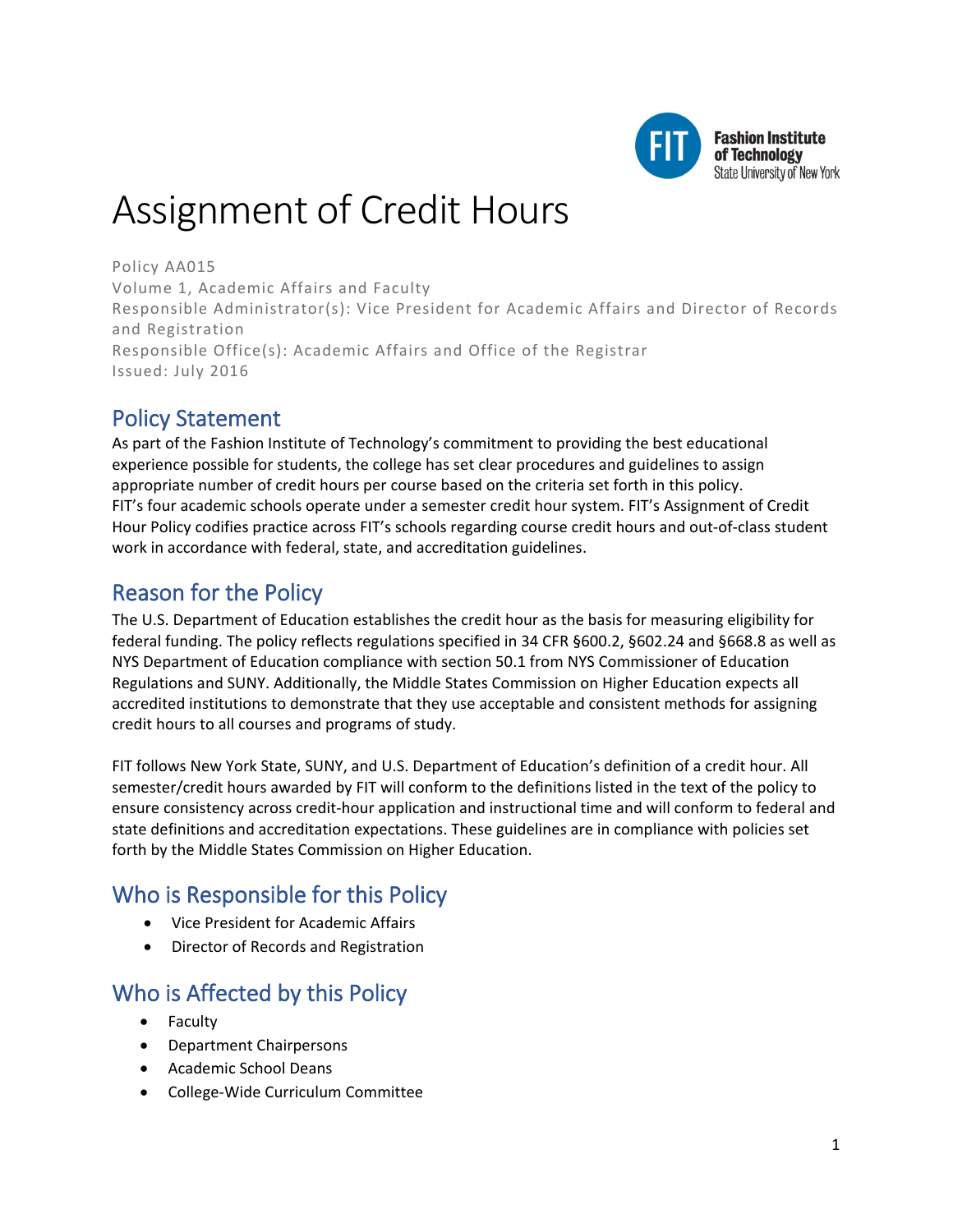

# Assignment of Credit Hours

Policy AA015 Volume 1, Academic Affairs and Faculty Responsible Administrator(s): Vice President for Academic Affairs and Director of Records and Registration Responsible Office(s): Academic Affairs and Office of the Registrar Issued: July 2016

# Policy Statement

As part of the Fashion Institute of Technology's commitment to providing the best educational experience possible for students, the college has set clear procedures and guidelines to assign appropriate number of credit hours per course based on the criteria set forth in this policy. FIT's four academic schools operate under a semester credit hour system. FIT's Assignment of Credit Hour Policy codifies practice across FIT's schools regarding course credit hours and out-of-class student work in accordance with federal, state, and accreditation guidelines.

## Reason for the Policy

The U.S. Department of Education establishes the credit hour as the basis for measuring eligibility for federal funding. The policy reflects regulations specified in 34 CFR §600.2, §602.24 and §668.8 as well as NYS Department of Education compliance with section 50.1 from NYS Commissioner of Education Regulations and SUNY. Additionally, the Middle States Commission on Higher Education expects all accredited institutions to demonstrate that they use acceptable and consistent methods for assigning credit hours to all courses and programs of study.

FIT follows New York State, SUNY, and U.S. Department of Education's definition of a credit hour. All semester/credit hours awarded by FIT will conform to the definitions listed in the text of the policy to ensure consistency across credit-hour application and instructional time and will conform to federal and state definitions and accreditation expectations. These guidelines are in compliance with policies set forth by the Middle States Commission on Higher Education.

# Who is Responsible for this Policy

- Vice President for Academic Affairs
- Director of Records and Registration

### Who is Affected by this Policy

- Faculty
- Department Chairpersons
- Academic School Deans
- College-Wide Curriculum Committee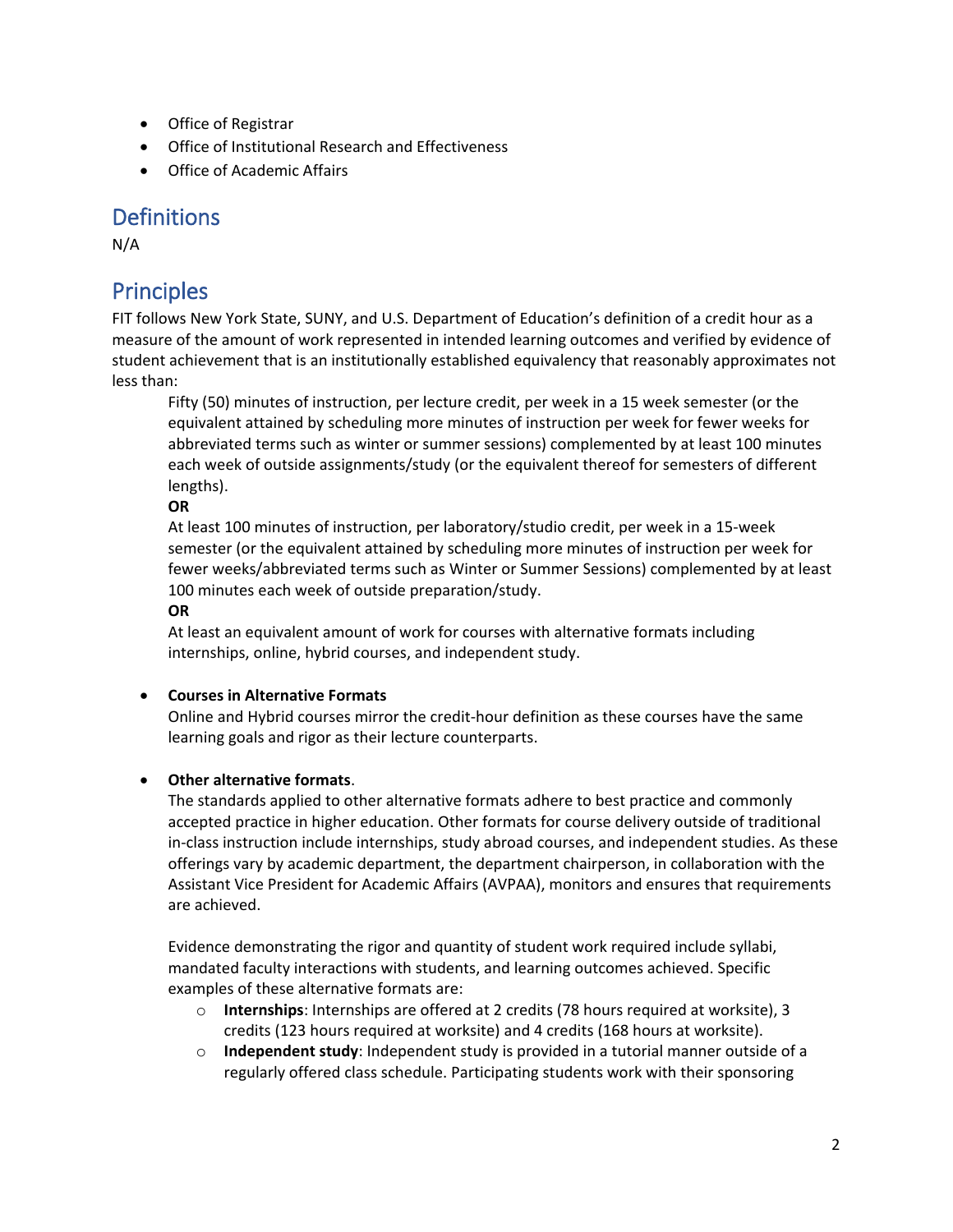- Office of Registrar
- Office of Institutional Research and Effectiveness
- Office of Academic Affairs

### **Definitions**

N/A

### **Principles**

FIT follows New York State, SUNY, and U.S. Department of Education's definition of a credit hour as a measure of the amount of work represented in intended learning outcomes and verified by evidence of student achievement that is an institutionally established equivalency that reasonably approximates not less than:

Fifty (50) minutes of instruction, per lecture credit, per week in a 15 week semester (or the equivalent attained by scheduling more minutes of instruction per week for fewer weeks for abbreviated terms such as winter or summer sessions) complemented by at least 100 minutes each week of outside assignments/study (or the equivalent thereof for semesters of different lengths).

**OR**

At least 100 minutes of instruction, per laboratory/studio credit, per week in a 15-week semester (or the equivalent attained by scheduling more minutes of instruction per week for fewer weeks/abbreviated terms such as Winter or Summer Sessions) complemented by at least 100 minutes each week of outside preparation/study.

#### **OR**

At least an equivalent amount of work for courses with alternative formats including internships, online, hybrid courses, and independent study.

#### • **Courses in Alternative Formats**

Online and Hybrid courses mirror the credit-hour definition as these courses have the same learning goals and rigor as their lecture counterparts.

#### • **Other alternative formats**.

The standards applied to other alternative formats adhere to best practice and commonly accepted practice in higher education. Other formats for course delivery outside of traditional in-class instruction include internships, study abroad courses, and independent studies. As these offerings vary by academic department, the department chairperson, in collaboration with the Assistant Vice President for Academic Affairs (AVPAA), monitors and ensures that requirements are achieved.

Evidence demonstrating the rigor and quantity of student work required include syllabi, mandated faculty interactions with students, and learning outcomes achieved. Specific examples of these alternative formats are:

- o **Internships**: Internships are offered at 2 credits (78 hours required at worksite), 3 credits (123 hours required at worksite) and 4 credits (168 hours at worksite).
- o **Independent study**: Independent study is provided in a tutorial manner outside of a regularly offered class schedule. Participating students work with their sponsoring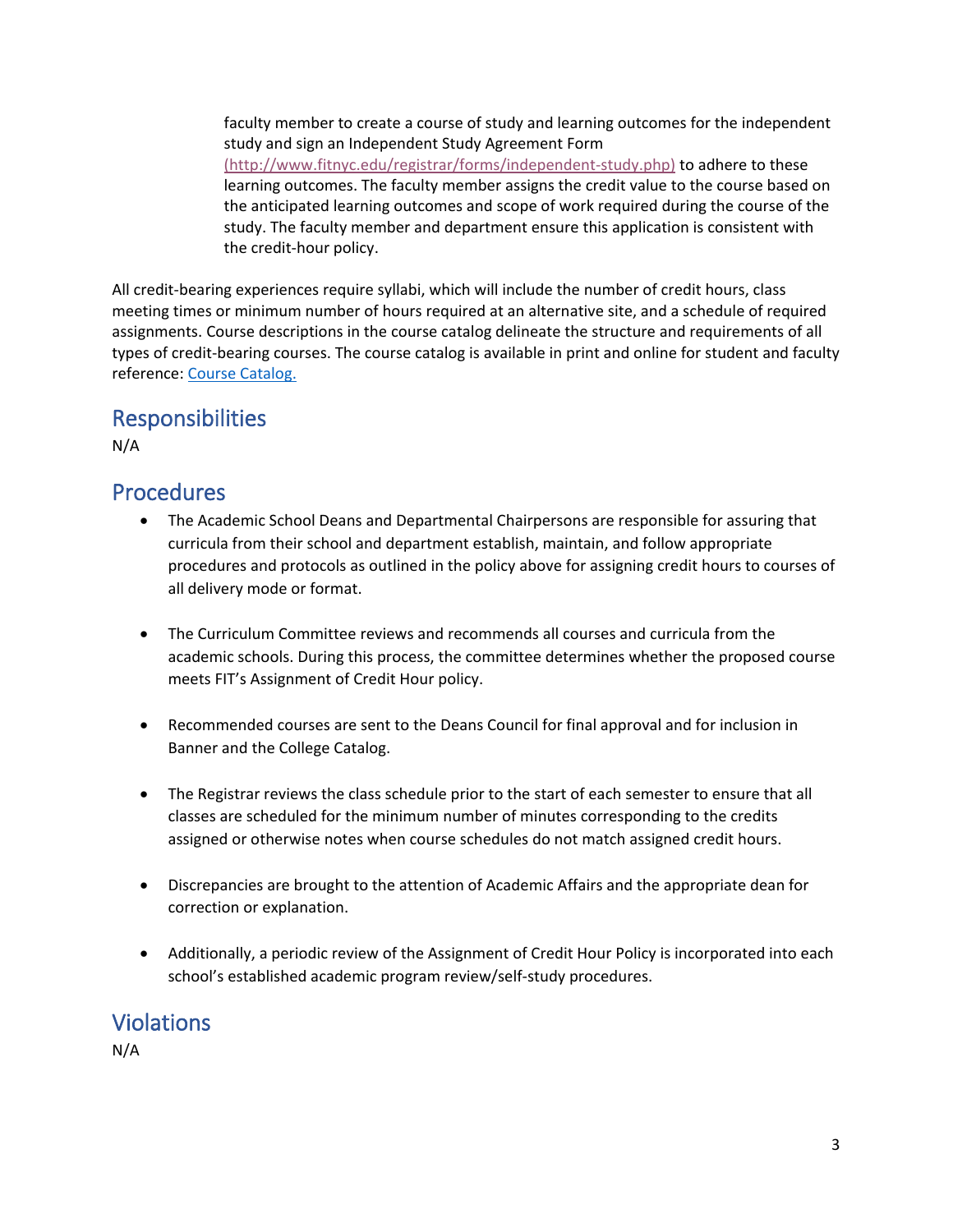faculty member to create a course of study and learning outcomes for the independent study and sign an Independent Study Agreement Form [\(http://www.fitnyc.edu/registrar/forms/independent-study.php\)](https://www.fitnyc.edu/documents/registrar/reg-independent-study.pdf) to adhere to these learning outcomes. The faculty member assigns the credit value to the course based on the anticipated learning outcomes and scope of work required during the course of the study. The faculty member and department ensure this application is consistent with the credit-hour policy.

All credit-bearing experiences require syllabi, which will include the number of credit hours, class meeting times or minimum number of hours required at an alternative site, and a schedule of required assignments. Course descriptions in the course catalog delineate the structure and requirements of all types of credit-bearing courses. The course catalog is available in print and online for student and faculty reference: [Course Catalog.](https://www.fitnyc.edu/academics/courses-and-registration/catalogs/index.php)

### Responsibilities

N/A

### Procedures

- The Academic School Deans and Departmental Chairpersons are responsible for assuring that curricula from their school and department establish, maintain, and follow appropriate procedures and protocols as outlined in the policy above for assigning credit hours to courses of all delivery mode or format.
- The Curriculum Committee reviews and recommends all courses and curricula from the academic schools. During this process, the committee determines whether the proposed course meets FIT's Assignment of Credit Hour policy.
- Recommended courses are sent to the Deans Council for final approval and for inclusion in Banner and the College Catalog.
- The Registrar reviews the class schedule prior to the start of each semester to ensure that all classes are scheduled for the minimum number of minutes corresponding to the credits assigned or otherwise notes when course schedules do not match assigned credit hours.
- Discrepancies are brought to the attention of Academic Affairs and the appropriate dean for correction or explanation.
- Additionally, a periodic review of the Assignment of Credit Hour Policy is incorporated into each school's established academic program review/self-study procedures.

### **Violations**

N/A